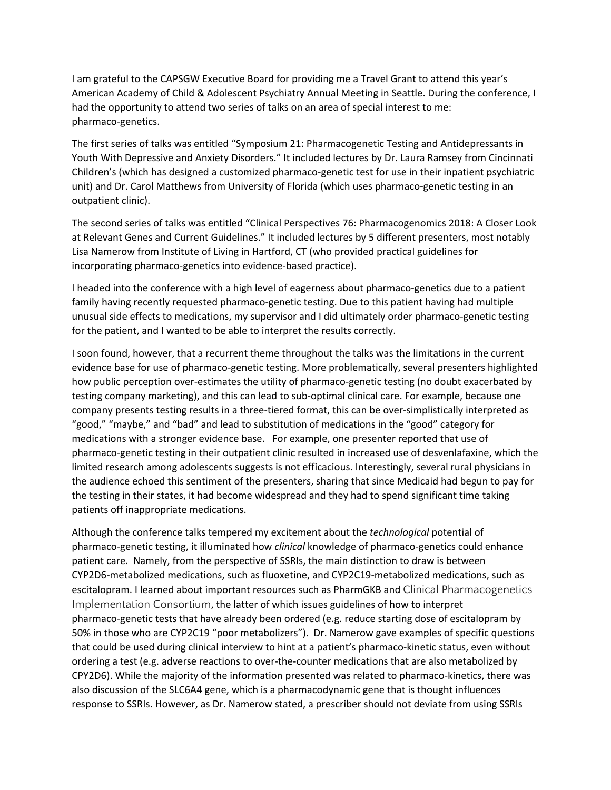I am grateful to the CAPSGW Executive Board for providing me a Travel Grant to attend this year's American Academy of Child & Adolescent Psychiatry Annual Meeting in Seattle. During the conference, I had the opportunity to attend two series of talks on an area of special interest to me: pharmaco-genetics.

The first series of talks was entitled "Symposium 21: Pharmacogenetic Testing and Antidepressants in Youth With Depressive and Anxiety Disorders." It included lectures by Dr. Laura Ramsey from Cincinnati Children's (which has designed a customized pharmaco-genetic test for use in their inpatient psychiatric unit) and Dr. Carol Matthews from University of Florida (which uses pharmaco-genetic testing in an outpatient clinic).

The second series of talks was entitled "Clinical Perspectives 76: Pharmacogenomics 2018: A Closer Look at Relevant Genes and Current Guidelines." It included lectures by 5 different presenters, most notably Lisa Namerow from Institute of Living in Hartford, CT (who provided practical guidelines for incorporating pharmaco-genetics into evidence-based practice).

I headed into the conference with a high level of eagerness about pharmaco-genetics due to a patient family having recently requested pharmaco-genetic testing. Due to this patient having had multiple unusual side effects to medications, my supervisor and I did ultimately order pharmaco-genetic testing for the patient, and I wanted to be able to interpret the results correctly.

I soon found, however, that a recurrent theme throughout the talks was the limitations in the current evidence base for use of pharmaco-genetic testing. More problematically, several presenters highlighted how public perception over-estimates the utility of pharmaco-genetic testing (no doubt exacerbated by testing company marketing), and this can lead to sub-optimal clinical care. For example, because one company presents testing results in a three-tiered format, this can be over-simplistically interpreted as "good," "maybe," and "bad" and lead to substitution of medications in the "good" category for medications with a stronger evidence base. For example, one presenter reported that use of pharmaco-genetic testing in their outpatient clinic resulted in increased use of desvenlafaxine, which the limited research among adolescents suggests is not efficacious. Interestingly, several rural physicians in the audience echoed this sentiment of the presenters, sharing that since Medicaid had begun to pay for the testing in their states, it had become widespread and they had to spend significant time taking patients off inappropriate medications.

Although the conference talks tempered my excitement about the *technological* potential of pharmaco-genetic testing, it illuminated how *clinical* knowledge of pharmaco-genetics could enhance patient care. Namely, from the perspective of SSRIs, the main distinction to draw is between CYP2D6-metabolized medications, such as fluoxetine, and CYP2C19-metabolized medications, such as escitalopram. I learned about important resources such as PharmGKB and Clinical Pharmacogenetics Implementation Consortium, the latter of which issues guidelines of how to interpret pharmaco-genetic tests that have already been ordered (e.g. reduce starting dose of escitalopram by 50% in those who are CYP2C19 "poor metabolizers"). Dr. Namerow gave examples of specific questions that could be used during clinical interview to hint at a patient's pharmaco-kinetic status, even without ordering a test (e.g. adverse reactions to over-the-counter medications that are also metabolized by CPY2D6). While the majority of the information presented was related to pharmaco-kinetics, there was also discussion of the SLC6A4 gene, which is a pharmacodynamic gene that is thought influences response to SSRIs. However, as Dr. Namerow stated, a prescriber should not deviate from using SSRIs